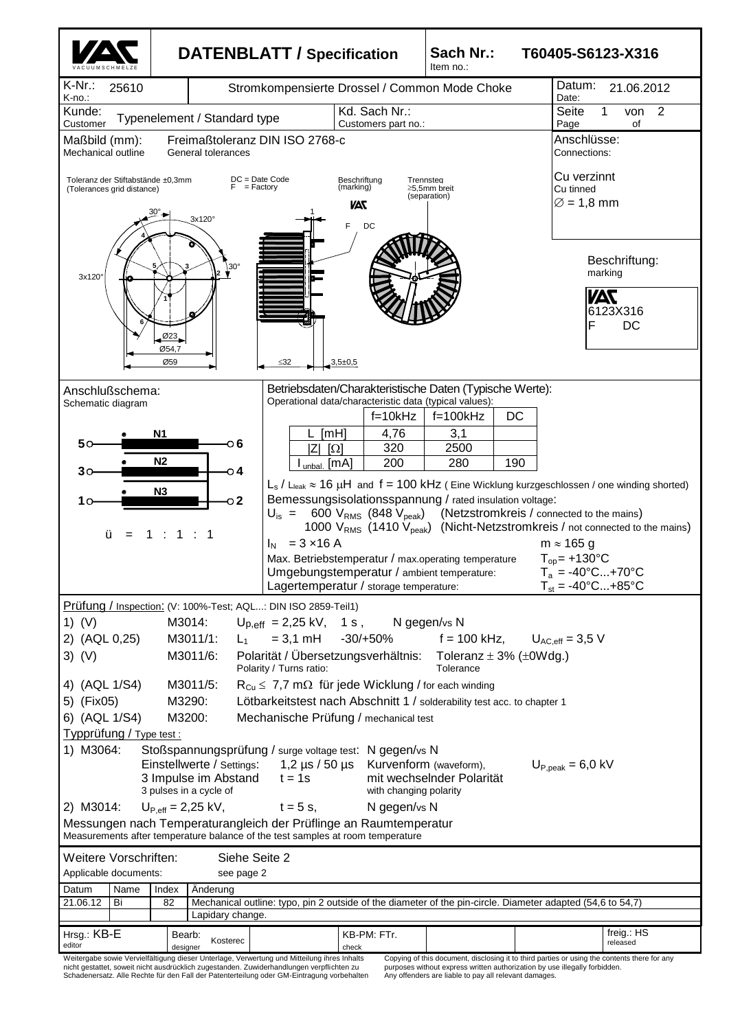

nicht gestattet, soweit nicht ausdrücklich zugestanden. Zuwiderhandlungen verpflichten zu Schadenersatz. Alle Rechte für den Fall der Patenterteilung oder GM-Eintragung vorbehalten

purposes without express written authorization by use illegally forbidden. Any offenders are liable to pay all relevant damages.